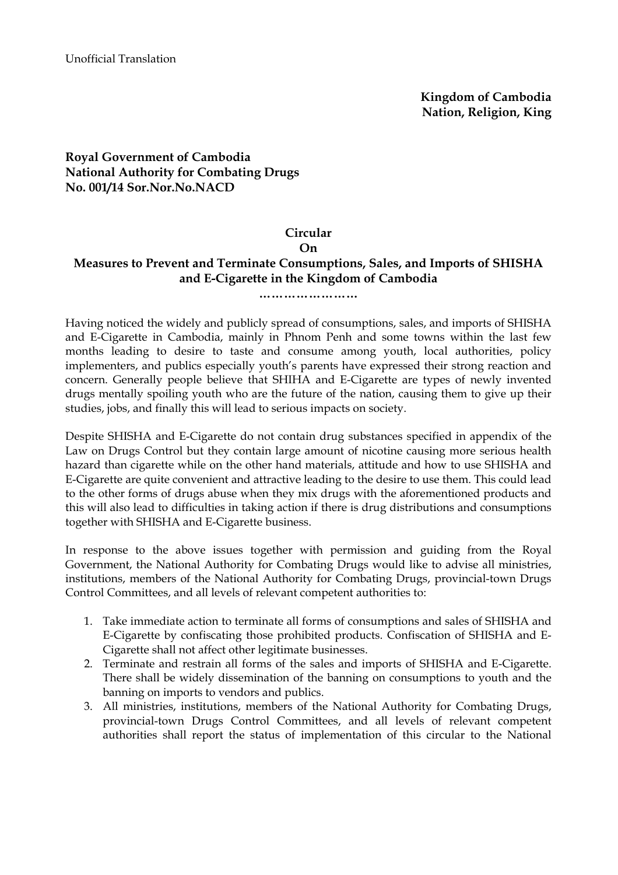# **Royal Government of Cambodia National Authority for Combating Drugs No. 001/14 Sor.Nor.No.NACD**

### **Circular**

### **On**

# **Measures to Prevent and Terminate Consumptions, Sales, and Imports of SHISHA and E-Cigarette in the Kingdom of Cambodia**

#### **……………………**

Having noticed the widely and publicly spread of consumptions, sales, and imports of SHISHA and E-Cigarette in Cambodia, mainly in Phnom Penh and some towns within the last few months leading to desire to taste and consume among youth, local authorities, policy implementers, and publics especially youth's parents have expressed their strong reaction and concern. Generally people believe that SHIHA and E-Cigarette are types of newly invented drugs mentally spoiling youth who are the future of the nation, causing them to give up their studies, jobs, and finally this will lead to serious impacts on society.

Despite SHISHA and E-Cigarette do not contain drug substances specified in appendix of the Law on Drugs Control but they contain large amount of nicotine causing more serious health hazard than cigarette while on the other hand materials, attitude and how to use SHISHA and E-Cigarette are quite convenient and attractive leading to the desire to use them. This could lead to the other forms of drugs abuse when they mix drugs with the aforementioned products and this will also lead to difficulties in taking action if there is drug distributions and consumptions together with SHISHA and E-Cigarette business.

In response to the above issues together with permission and guiding from the Royal Government, the National Authority for Combating Drugs would like to advise all ministries, institutions, members of the National Authority for Combating Drugs, provincial-town Drugs Control Committees, and all levels of relevant competent authorities to:

- 1. Take immediate action to terminate all forms of consumptions and sales of SHISHA and E-Cigarette by confiscating those prohibited products. Confiscation of SHISHA and E-Cigarette shall not affect other legitimate businesses.
- 2. Terminate and restrain all forms of the sales and imports of SHISHA and E-Cigarette. There shall be widely dissemination of the banning on consumptions to youth and the banning on imports to vendors and publics.
- 3. All ministries, institutions, members of the National Authority for Combating Drugs, provincial-town Drugs Control Committees, and all levels of relevant competent authorities shall report the status of implementation of this circular to the National